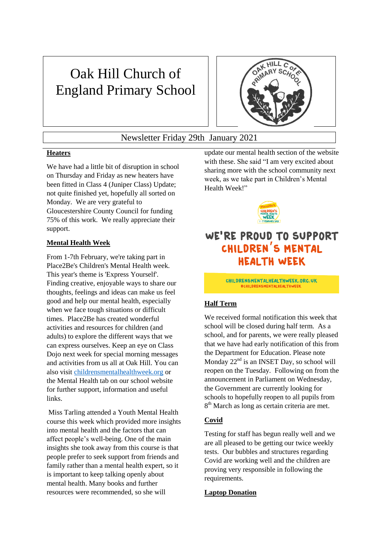# Oak Hill Church of England Primary School



### Newsletter Friday 29th January 2021

#### **Heaters**

We have had a little bit of disruption in school on Thursday and Friday as new heaters have been fitted in Class 4 (Juniper Class) Update; not quite finished yet, hopefully all sorted on Monday. We are very grateful to Gloucestershire County Council for funding 75% of this work. We really appreciate their support.

#### **Mental Health Week**

From 1-7th February, we're taking part in Place2Be's Children's Mental Health week. This year's theme is 'Express Yourself'. Finding creative, enjoyable ways to share our thoughts, feelings and ideas can make us feel good and help our mental health, especially when we face tough situations or difficult times. Place2Be has created wonderful activities and resources for children (and adults) to explore the different ways that we can express ourselves. Keep an eye on Class Dojo next week for special morning messages and activities from us all at Oak Hill. You can also visit [childrensmentalhealthweek.org](http://childrensmentalhealthweek.org/) or the Mental Health tab on our school website for further support, information and useful links.

Miss Tarling attended a Youth Mental Health course this week which provided more insights into mental health and the factors that can affect people's well-being. One of the main insights she took away from this course is that people prefer to seek support from friends and family rather than a mental health expert, so it is important to keep talking openly about mental health. Many books and further resources were recommended, so she will

update our mental health section of the website with these. She said "I am very excited about sharing more with the school community next week, as we take part in Children's Mental Health Week!"



## WE'RE PROUD TO SUPPORT CHILDREN'S MENTAL **HEALTH WEEK**

CHILDRENSMENTALHEALTHWEEK.ORG.UK **#CHILDRENSMENTALHEALTHWEEK** 

#### **Half Term**

We received formal notification this week that school will be closed during half term. As a school, and for parents, we were really pleased that we have had early notification of this from the Department for Education. Please note Monday 22<sup>nd</sup> is an INSET Day, so school will reopen on the Tuesday. Following on from the announcement in Parliament on Wednesday, the Government are currently looking for schools to hopefully reopen to all pupils from 8<sup>th</sup> March as long as certain criteria are met.

#### **Covid**

Testing for staff has begun really well and we are all pleased to be getting our twice weekly tests. Our bubbles and structures regarding Covid are working well and the children are proving very responsible in following the requirements.

#### **Laptop Donation**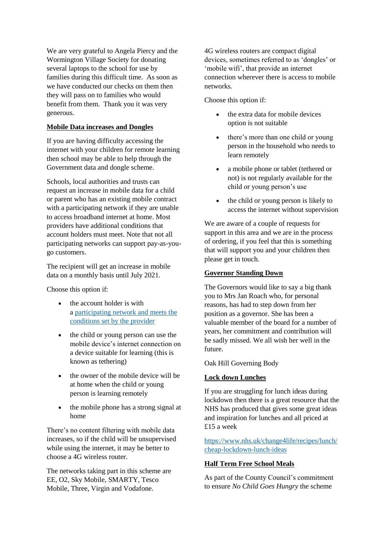We are very grateful to Angela Piercy and the Wormington Village Society for donating several laptops to the school for use by families during this difficult time. As soon as we have conducted our checks on them then they will pass on to families who would benefit from them. Thank you it was very generous.

#### **Mobile Data increases and Dongles**

If you are having difficulty accessing the internet with your children for remote learning then school may be able to help through the Government data and dongle scheme.

Schools, local authorities and trusts can request an increase in mobile data for a child or parent who has an existing mobile contract with a participating network if they are unable to access broadband internet at home. Most providers have additional conditions that account holders must meet. Note that not all participating networks can support pay-as-yougo customers.

The recipient will get an increase in mobile data on a monthly basis until July 2021.

Choose this option if:

- the account holder is with a [participating network and meets the](https://get-help-with-tech.education.gov.uk/guide-to-collecting-mobile-information/telling-about-offer#network-offers)  [conditions set by the provider](https://get-help-with-tech.education.gov.uk/guide-to-collecting-mobile-information/telling-about-offer#network-offers)
- the child or young person can use the mobile device's internet connection on a device suitable for learning (this is known as tethering)
- the owner of the mobile device will be at home when the child or young person is learning remotely
- the mobile phone has a strong signal at home

There's no content filtering with mobile data increases, so if the child will be unsupervised while using the internet, it may be better to choose a 4G wireless router.

The networks taking part in this scheme are EE, O2, Sky Mobile, SMARTY, Tesco Mobile, Three, Virgin and Vodafone.

4G wireless routers are compact digital devices, sometimes referred to as 'dongles' or 'mobile wifi', that provide an internet connection wherever there is access to mobile networks.

Choose this option if:

- the extra data for mobile devices option is not suitable
- there's more than one child or young person in the household who needs to learn remotely
- a mobile phone or tablet (tethered or not) is not regularly available for the child or young person's use
- the child or young person is likely to access the internet without supervision

We are aware of a couple of requests for support in this area and we are in the process of ordering, if you feel that this is something that will support you and your children then please get in touch.

#### **Governor Standing Down**

The Governors would like to say a big thank you to Mrs Jan Roach who, for personal reasons, has had to step down from her position as a governor. She has been a valuable member of the board for a number of years, her commitment and contribution will be sadly missed. We all wish her well in the future.

Oak Hill Governing Body

#### **Lock down Lunches**

If you are struggling for lunch ideas during lockdown then there is a great resource that the NHS has produced that gives some great ideas and inspiration for lunches and all priced at £15 a week

[https://www.nhs.uk/change4life/recipes/lunch/](https://www.nhs.uk/change4life/recipes/lunch/cheap-lockdown-lunch-ideas) [cheap-lockdown-lunch-ideas](https://www.nhs.uk/change4life/recipes/lunch/cheap-lockdown-lunch-ideas)

#### **Half Term Free School Meals**

As part of the County Council's commitment to ensure *No Child Goes Hungry* the scheme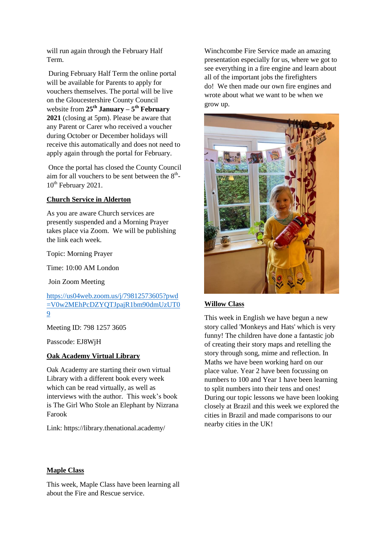will run again through the February Half Term.

During February Half Term the online portal will be available for Parents to apply for vouchers themselves. The portal will be live on the Gloucestershire County Council website from **25th January – 5 th February 2021** (closing at 5pm). Please be aware that any Parent or Carer who received a voucher during October or December holidays will receive this automatically and does not need to apply again through the portal for February.

Once the portal has closed the County Council aim for all vouchers to be sent between the  $8<sup>th</sup>$ -10<sup>th</sup> February 2021.

#### **Church Service in Alderton**

As you are aware Church services are presently suspended and a Morning Prayer takes place via Zoom. We will be publishing the link each week.

Topic: Morning Prayer

Time: 10:00 AM London

Join Zoom Meeting

[https://us04web.zoom.us/j/79812573605?pwd](https://us04web.zoom.us/j/79812573605?pwd=V0w2MEhPcDZYQTJpajR1bm90dmUzUT09) [=V0w2MEhPcDZYQTJpajR1bm90dmUzUT0](https://us04web.zoom.us/j/79812573605?pwd=V0w2MEhPcDZYQTJpajR1bm90dmUzUT09) [9](https://us04web.zoom.us/j/79812573605?pwd=V0w2MEhPcDZYQTJpajR1bm90dmUzUT09)

Meeting ID: 798 1257 3605

Passcode: EJ8WjH

#### **Oak Academy Virtual Library**

Oak Academy are starting their own virtual Library with a different book every week which can be read virtually, as well as interviews with the author. This week's book is The Girl Who Stole an Elephant by Nizrana Farook

Link: https://library.thenational.academy/

Winchcombe Fire Service made an amazing presentation especially for us, where we got to see everything in a fire engine and learn about all of the important jobs the firefighters do! We then made our own fire engines and wrote about what we want to be when we grow up.



#### **Willow Class**

This week in English we have begun a new story called 'Monkeys and Hats' which is very funny! The children have done a fantastic job of creating their story maps and retelling the story through song, mime and reflection. In Maths we have been working hard on our place value. Year 2 have been focussing on numbers to 100 and Year 1 have been learning to split numbers into their tens and ones! During our topic lessons we have been looking closely at Brazil and this week we explored the cities in Brazil and made comparisons to our nearby cities in the UK!

#### **Maple Class**

This week, Maple Class have been learning all about the Fire and Rescue service.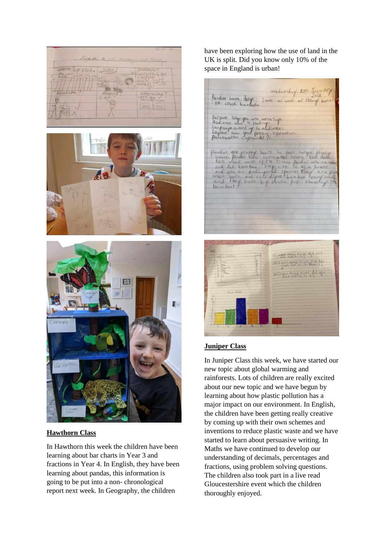





#### **Hawthorn Class**

In Hawthorn this week the children have been learning about bar charts in Year 3 and fractions in Year 4. In English, they have been learning about pandas, this information is going to be put into a non- chronological report next week. In Geography, the children

have been exploring how the use of land in the UK is split. Did you know only 10% of the space in England is urban!

Wednesday 17th Jan<br>Pandor have loty jour as well as strang to crush bamb purpose who you are write info<br>Andrene who is puring to altience are flutte b CHACTA d lat bainboo and eat bamboon<br>when both and colorated species five<br>when both and coloration from boo<br>bambool

#### **Juniper Class**

In Juniper Class this week, we have started our new topic about global warming and rainforests. Lots of children are really excited about our new topic and we have begun by learning about how plastic pollution has a major impact on our environment. In English, the children have been getting really creative by coming up with their own schemes and inventions to reduce plastic waste and we have started to learn about persuasive writing. In Maths we have continued to develop our understanding of decimals, percentages and fractions, using problem solving questions. The children also took part in a live read Gloucestershire event which the children thoroughly enjoyed.